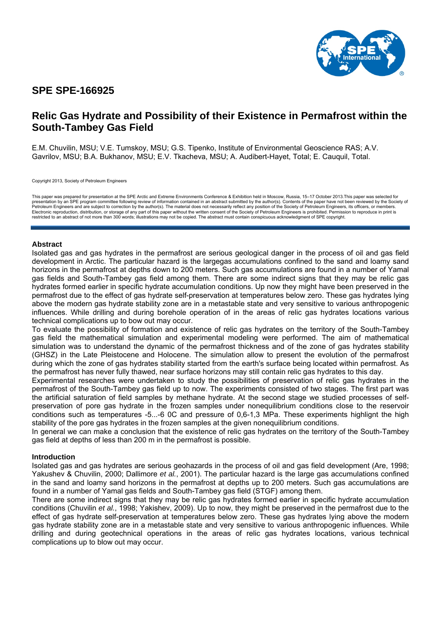

## **SPE SPE-166925**

# **Relic Gas Hydrate and Possibility of their Existence in Permafrost within the South-Tambey Gas Field**

Е.М. Chuvilin, MSU; V.E. Тumskoy, MSU; G.S. Тipenko, Institute of Environmental Geoscience RAS; А.V. Gavrilov, MSU; B.А. Bukhanov, MSU; Е.V. Tkacheva, MSU; A. Audibert-Hayet, Total; E. Cauquil, Total.

Copyright 2013, Society of Petroleum Engineers

This paper was prepared for presentation at the SPE Arctic and Extreme Environments Conference & Exhibition held in Moscow, Russia, 15–17 October 2013.This paper was selected for<br>presentation by an SPE program committee fo Petroleum Engineers and are subject to correction by the author(s). The material does not necessarily reflect any position of the Society of Petroleum Engineers, its officers, or members. Electronic reproduction, distribution, or storage of any part of this paper without the written consent of the Society of Petroleum Engineers is prohibited. Permission to reproduce in print is restricted to an abstract of not more than 300 words; illustrations may not be copied. The abstract must contain conspicuous acknowledgment of SPE copyright.

## **Abstract**

Isolated gas and gas hydrates in the permafrost are serious geological danger in the process of oil and gas field development in Arctic. The particular hazard is the largegas accumulations confined to the sand and loamy sand horizons in the permafrost at depths down to 200 meters. Such gas accumulations are found in a number of Yamal gas fields and South-Tambey gas field among them. There are some indirect signs that they may be relic gas hydrates formed earlier in specific hydrate accumulation conditions. Up now they might have been preserved in the permafrost due to the effect of gas hydrate self-preservation at temperatures below zero. These gas hydrates lying above the modern gas hydrate stability zone are in a metastable state and very sensitive to various anthropogenic influences. While drilling and during borehole operation of in the areas of relic gas hydrates locations various technical complications up to bow out may occur.

To evaluate the possibility of formation and existence of relic gas hydrates on the territory of the South-Tambey gas field the mathematical simulation and experimental modeling were performed. The aim of mathematical simulation was to understand the dynamic of the permafrost thickness and of the zone of gas hydrates stability (GHSZ) in the Late Pleistocene and Holocene. The simulation allow to present the evolution of the permafrost during which the zone of gas hydrates stability started from the earth's surface being located within permafrost. As the permafrost has never fully thawed, near surface horizons may still contain relic gas hydrates to this day.

Experimental researches were undertaken to study the possibilities of preservation of relic gas hydrates in the permafrost of the South-Tambey gas field up to now. The experiments consisted of two stages. The first part was the artificial saturation of field samples by methane hydrate. At the second stage we studied processes of selfpreservation of pore gas hydrate in the frozen samples under nonequilibrium conditions close to the reservoir conditions such as temperatures -5...-6 0C and pressure of 0,6-1,3 MPa. These experiments highlignt the high stability of the pore gas hydrates in the frozen samples at the given nonequilibrium conditions.

In general we can make a conclusion that the existence of relic gas hydrates on the territory of the South-Tambey gas field at depths of less than 200 m in the permafrost is possible.

### **Introduction**

Isolated gas and gas hydrates are serious geohazards in the process of oil and gas field development (Аrе, 1998; Yakushev & Chuvilin, 2000; Dallimore *et al.*, 2001). The particular hazard is the large gas accumulations confined in the sand and loamy sand horizons in the permafrost at depths up to 200 meters. Such gas accumulations are found in a number of Yamal gas fields and South-Tambey gas field (STGF) among them.

There are some indirect signs that they may be relic gas hydrates formed earlier in specific hydrate accumulation conditions (Chuvilin *et al.*, 1998; Yakishev, 2009). Up to now, they might be preserved in the permafrost due to the effect of gas hydrate self-preservation at temperatures below zero. These gas hydrates lying above the modern gas hydrate stability zone are in a metastable state and very sensitive to various anthropogenic influences. While drilling and during geotechnical operations in the areas of relic gas hydrates locations, various technical complications up to blow out may occur.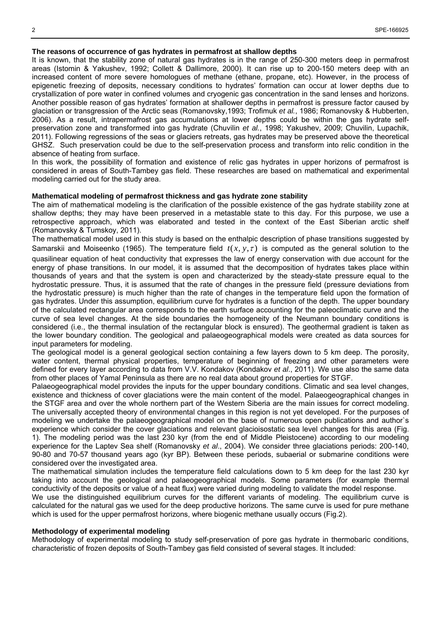### **The reasons of occurrence of gas hydrates in permafrost at shallow depths**

It is known, that the stability zone of natural gas hydrates is in the range of 250-300 meters deep in permafrost areas (Istomin & Yakushev, 1992; Collett & Dallimore, 2000). It can rise up to 200-150 meters deep with an increased content of more severe homologues of methane (ethane, propane, etc). However, in the process of epigenetic freezing of deposits, necessary conditions to hydrates' formation can occur at lower depths due to crystallization of pore water in confined volumes and cryogenic gas concentration in the sand lenses and horizons. Another possible reason of gas hydrates' formation at shallower depths in permafrost is pressure factor caused by glaciation or transgression of the Arctic seas (Romanovsky,1993; Trofimuk *et al.*, 1986; Romanovsky & Hubberten, 2006). As a result, intrapermafrost gas accumulations at lower depths could be within the gas hydrate selfpreservation zone and transformed into gas hydrate (Chuvilin *et al.*, 1998; Yakushev, 2009; Chuvilin, Lupachik, 2011). Following regressions of the seas or glaciers retreats, gas hydrates may be preserved above the theoretical GHSZ. Such preservation could be due to the self-preservation process and transform into relic condition in the absence of heating from surface.

In this work, the possibility of formation and existence of relic gas hydrates in upper horizons of permafrost is considered in areas of South-Tambey gas field. These researches are based on mathematical and experimental modeling carried out for the study area.

#### **Mathematical modeling of permafrost thickness and gas hydrate zone stability**

The aim of mathematical modeling is the clarification of the possible existence of the gas hydrate stability zone at shallow depths; they may have been preserved in a metastable state to this day. For this purpose, we use a retrospective approach, which was elaborated and tested in the context of the East Siberian arctic shelf (Romanovsky & Tumskoy, 2011).

The mathematical model used in this study is based on the enthalpic description of phase transitions suggested by Samarskii and Moiseenko (1965). The temperature field  $t(x, y, \tau)$  is computed as the general solution to the quasilinear equation of heat conductivity that expresses the law of energy conservation with due account for the energy of phase transitions. In our model, it is assumed that the decomposition of hydrates takes place within thousands of years and that the system is open and characterized by the steady-state pressure equal to the hydrostatic pressure. Thus, it is assumed that the rate of changes in the pressure field (pressure deviations from the hydrostatic pressure) is much higher than the rate of changes in the temperature field upon the formation of gas hydrates. Under this assumption, equilibrium curve for hydrates is a function of the depth. The upper boundary of the calculated rectangular area corresponds to the earth surface accounting for the paleoclimatic curve and the curve of sea level changes. At the side boundaries the homogeneity of the Neumann boundary conditions is considered (i.e., the thermal insulation of the rectangular block is ensured). The geothermal gradient is taken as the lower boundary condition. The geological and palaeogeographical models were created as data sources for input parameters for modeling.

The geological model is a general geological section containing a few layers down to 5 km deep. The porosity, water content, thermal physical properties, temperature of beginning of freezing and other parameters were defined for every layer according to data from V.V. Kondakov (Kondakov *et al*., 2011). We use also the same data from other places of Yamal Peninsula as there are no real data about ground properties for STGF.

Palaeogeographical model provides the inputs for the upper boundary conditions. Climatic and sea level changes, existence and thickness of cover glaciations were the main content of the model. Palaeogeographical changes in the STGF area and over the whole northern part of the Western Siberia are the main issues for correct modeling. The universally accepted theory of environmental changes in this region is not yet developed. For the purposes of modeling we undertake the palaeogeographical model on the base of numerous open publications and author`s experience which consider the cover glaciations and relevant glacioisostatic sea level changes for this area (Fig. 1). The modeling period was the last 230 kyr (from the end of Middle Pleistocene) according to our modeling experience for the Laptev Sea shelf (Romanovsky *et al*., 2004). We consider three glaciations periods: 200-140, 90-80 and 70-57 thousand years ago (kyr BP). Between these periods, subaerial or submarine conditions were considered over the investigated area.

The mathematical simulation includes the temperature field calculations down to 5 km deep for the last 230 kyr taking into account the geological and palaeogeographical models. Some parameters (for example thermal conductivity of the deposits or value of a heat flux) were varied during modeling to validate the model response.

We use the distinguished equilibrium curves for the different variants of modeling. The equilibrium curve is calculated for the natural gas we used for the deep productive horizons. The same curve is used for pure methane which is used for the upper permafrost horizons, where biogenic methane usually occurs (Fig.2).

### **Methodology of experimental modeling**

Methodology of experimental modeling to study self-preservation of pore gas hydrate in thermobaric conditions, characteristic of frozen deposits of South-Tambey gas field consisted of several stages. It included: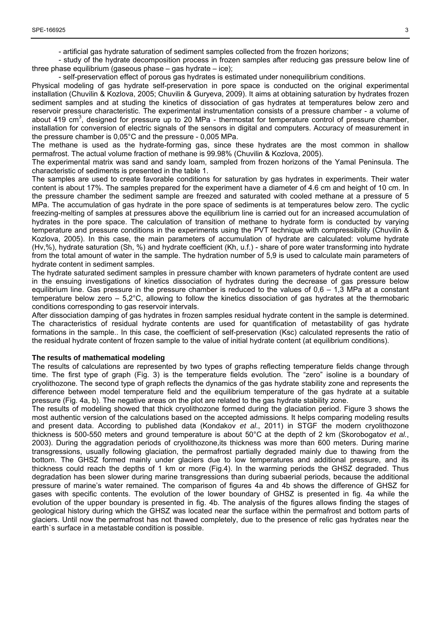- artificial gas hydrate saturation of sediment samples collected from the frozen horizons;

- study of the hydrate decomposition process in frozen samples after reducing gas pressure below line of three phase equilibrium (gaseous phase – gas hydrate – ice);

- self-preservation effect of porous gas hydrates is estimated under nonequilibrium conditions.

Physical modeling of gas hydrate self-preservation in pore space is conducted on the original experimental installation (Chuvilin & Kozlova, 2005; Chuvilin & Guryeva, 2009). It aims at obtaining saturation by hydrates frozen sediment samples and at studing the kinetics of dissociation of gas hydrates at temperatures below zero and reservoir pressure characteristic. The experimental instrumentation consists of a pressure chamber - a volume of about 419 cm<sup>3</sup>, designed for pressure up to 20 MPa - thermostat for temperature control of pressure chamber, installation for conversion of electric signals of the sensors in digital and computers. Accuracy of measurement in the pressure chamber is 0,05°С and the pressure - 0,005 MPa.

The methane is used as the hydrate-forming gas, since these hydrates are the most common in shallow permafrost. The actual volume fraction of methane is 99.98% (Chuvilin & Kozlova, 2005).

The experimental matrix was sand and sandy loam, sampled from frozen horizons of the Yamal Peninsula. The characteristic of sediments is presented in the table 1.

The samples are used to create favorable conditions for saturation by gas hydrates in experiments. Their water content is about 17%. The samples prepared for the experiment have a diameter of 4.6 cm and height of 10 cm. In the pressure chamber the sediment sample are freezed and saturated with cooled methane at a pressure of 5 MPa. The accumulation of gas hydrate in the pore space of sediments is at temperatures below zero. The cyclic freezing-melting of samples at pressures above the equilibrium line is carried out for an increased accumulation of hydrates in the pore space. The calculation of transition of methane to hydrate form is conducted by varying temperature and pressure conditions in the experiments using the PVT technique with compressibility (Chuvilin & Kozlova, 2005). In this case, the main parameters of accumulation of hydrate are calculated: volume hydrate (Hv,%), hydrate saturation (Sh, %) and hydrate coefficient (Kh, u.f.) - share of pore water transforming into hydrate from the total amount of water in the sample. The hydration number of 5,9 is used to calculate main parameters of hydrate content in sediment samples.

The hydrate saturated sediment samples in pressure chamber with known parameters of hydrate content are used in the ensuing investigations of kinetics dissociation of hydrates during the decrease of gas pressure below equilibrium line. Gas pressure in the pressure chamber is reduced to the values of  $0.6 - 1.3$  MPa at a constant temperature below zero – 5,2°C, allowing to follow the kinetics dissociation of gas hydrates at the thermobaric conditions corresponding to gas reservoir intervals.

After dissociation damping of gas hydrates in frozen samples residual hydrate content in the sample is determined. The characteristics of residual hydrate contents are used for quantification of metastability of gas hydrate formations in the sample.. In this case, the coefficient of self-preservation (Ksc) calculated represents the ratio of the residual hydrate content of frozen sample to the value of initial hydrate content (at equilibrium conditions).

### **The results of mathematical modeling**

The results of calculations are represented by two types of graphs reflecting temperature fields change through time. The first type of graph (Fig. 3) is the temperature fields evolution. The "zero" isoline is a boundary of cryolithozone. The second type of graph reflects the dynamics of the gas hydrate stability zone and represents the difference between model temperature field and the equilibrium temperature of the gas hydrate at a suitable pressure (Fig. 4a, b). The negative areas on the plot are related to the gas hydrate stability zone.

The results of modeling showed that thick cryolithozone formed during the glaciation period. Figure 3 shows the most authentic version of the calculations based on the accepted admissions. It helps comparing modeling results and present data. According to published data (Kondakov *et al*., 2011) in STGF the modern cryolithozone thickness is 500-550 meters and ground temperature is about 50°С at the depth of 2 km (Skorobogatov *et al.*, 2003). During the aggradation periods of cryolithozone,its thickness was more than 600 meters. During marine transgressions, usually following glaciation, the permafrost partially degraded mainly due to thawing from the bottom. The GHSZ formed mainly under glaciers due to low temperatures and additional pressure, and its thickness could reach the depths of 1 km or more (Fig.4). In the warming periods the GHSZ degraded. Thus degradation has been slower during marine transgressions than during subaerial periods, because the additional pressure of marine's water remained. The comparison of figures 4a and 4b shows the difference of GHSZ for gases with specific contents. The evolution of the lower boundary of GHSZ is presented in fig. 4a while the evolution of the upper boundary is presented in fig. 4b. The analysis of the figures allows finding the stages of geological history during which the GHSZ was located near the surface within the permafrost and bottom parts of glaciers. Until now the permafrost has not thawed completely, due to the presence of relic gas hydrates near the earth`s surface in a metastable condition is possible.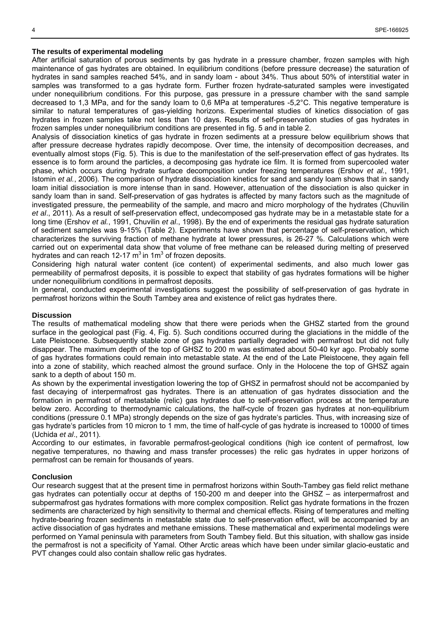#### **The results of experimental modeling**

After artificial saturation of porous sediments by gas hydrate in a pressure chamber, frozen samples with high maintenance of gas hydrates are obtained. In equilibrium conditions (before pressure decrease) the saturation of hydrates in sand samples reached 54%, and in sandy loam - about 34%. Thus about 50% of interstitial water in samples was transformed to a gas hydrate form. Further frozen hydrate-saturated samples were investigated under nonequilibrium conditions. For this purpose, gas pressure in a pressure chamber with the sand sample decreased to 1,3 MPa, and for the sandy loam to 0,6 MPa at temperatures -5,2°C. This negative temperature is similar to natural temperatures of gas-yielding horizons. Experimental studies of kinetics dissociation of gas hydrates in frozen samples take not less than 10 days. Results of self-preservation studies of gas hydrates in frozen samples under nonequilibrium conditions are presented in fig. 5 and in table 2.

Analysis of dissociation kinetics of gas hydrate in frozen sediments at a pressure below equilibrium shows that after pressure decrease hydrates rapidly decompose. Over time, the intensity of decomposition decreases, and eventually almost stops (Fig. 5). This is due to the manifestation of the self-preservation effect of gas hydrates. Its essence is to form around the particles, a decomposing gas hydrate ice film. It is formed from supercooled water phase, which occurs during hydrate surface decomposition under freezing temperatures (Ershov *et al.*, 1991, Istomin *et al.*, 2006). The comparison of hydrate dissociation kinetics for sand and sandy loam shows that in sandy loam initial dissociation is more intense than in sand. However, attenuation of the dissociation is also quicker in sandy loam than in sand. Self-preservation of gas hydrates is affected by many factors such as the magnitude of investigated pressure, the permeability of the sample, and macro and micro morphology of the hydrates (Chuvilin *et al*., 2011). As a result of self-preservation effect, undecomposed gas hydrate may be in a metastable state for a long time (Ershov *et al.*, 1991, Chuvilin *et al*., 1998). By the end of experiments the residual gas hydrate saturation of sediment samples was 9-15% (Table 2). Experiments have shown that percentage of self-preservation, which characterizes the surviving fraction of methane hydrate at lower pressures, is 26-27 %. Calculations which were carried out on experimental data show that volume of free methane can be released during melting of preserved hydrates and can reach 12-17  $\text{m}^3$  in 1 $\text{m}^3$  of frozen deposits.

Considering high natural water content (ice content) of experimental sediments, and also much lower gas permeability of permafrost deposits, it is possible to expect that stability of gas hydrates formations will be higher under nonequilibrium conditions in permafrost deposits.

In general, conducted experimental investigations suggest the possibility of self-preservation of gas hydrate in permafrost horizons within the South Tambey area and existence of relict gas hydrates there.

#### **Discussion**

The results of mathematical modeling show that there were periods when the GHSZ started from the ground surface in the geological past (Fig. 4, Fig. 5). Such conditions occurred during the glaciations in the middle of the Late Pleistocene. Subsequently stable zone of gas hydrates partially degraded with permafrost but did not fully disappear. The maximum depth of the top of GHSZ to 200 m was estimated about 50-40 kyr ago. Probably some of gas hydrates formations could remain into metastable state. At the end of the Late Pleistocene, they again fell into a zone of stability, which reached almost the ground surface. Only in the Holocene the top of GHSZ again sank to a depth of about 150 m.

As shown by the experimental investigation lowering the top of GHSZ in permafrost should not be accompanied by fast decaying of interpermafrost gas hydrates. There is an attenuation of gas hydrates dissociation and the formation in permafrost of metastable (relic) gas hydrates due to self-preservation process at the temperature below zero. According to thermodynamic calculations, the half-cycle of frozen gas hydrates at non-equilibrium conditions (pressure 0.1 MPa) strongly depends on the size of gas hydrate's particles. Thus, with increasing size of gas hydrate's particles from 10 micron to 1 mm, the time of half-cycle of gas hydrate is increased to 10000 of times (Uchida *et al*., 2011).

According to our estimates, in favorable permafrost-geological conditions (high ice content of permafrost, low negative temperatures, no thawing and mass transfer processes) the relic gas hydrates in upper horizons of permafrost can be remain for thousands of years.

#### **Conclusion**

Our research suggest that at the present time in permafrost horizons within South-Tambey gas field relict methane gas hydrates can potentially occur at depths of 150-200 m and deeper into the GHSZ – as interpermafrost and subpermafrost gas hydrates formations with more complex composition. Relict gas hydrate formations in the frozen sediments are characterized by high sensitivity to thermal and chemical effects. Rising of temperatures and melting hydrate-bearing frozen sediments in metastable state due to self-preservation effect, will be accompanied by an active dissociation of gas hydrates and methane emissions. These mathematical and experimental modelings were performed on Yamal peninsula with parameters from South Tambey field. But this situation, with shallow gas inside the permafrost is not a specificity of Yamal. Other Arctic areas which have been under similar glacio-eustatic and PVT changes could also contain shallow relic gas hydrates.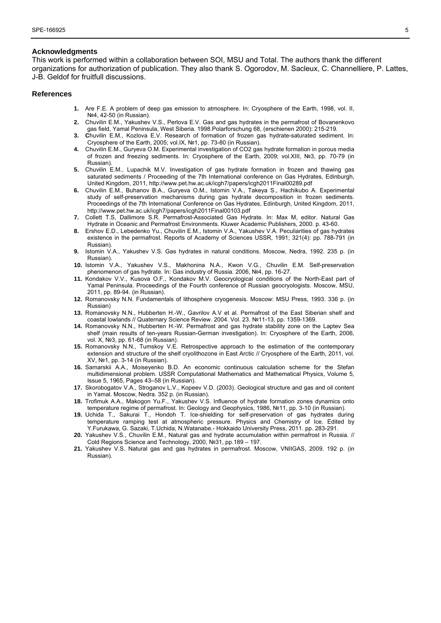#### **Acknowledgments**

This work is performed within a collaboration between SOI, MSU and Total. The authors thank the different organizations for authorization of publication. They also thank S. Ogorodov, M. Sacleux, C. Channelliere, P. Lattes, J-B. Geldof for fruitfull discussions.

#### **References**

- **1.** Are F.F. A problem of deep gas emission to atmosphere. In: Cryosphere of the Farth, 1998, vol. II, №4, 42-50 (in Russian).
- **2.** Chuvilin E.M., Yakushev V.S., Perlova E.V. Gas and gas hydrates in the permafrost of Bovanenkovo gas field, Yamal Peninsula, West Siberia. 1998.Polarforschung 68, (erschienen 2000): 215-219.
- **3. C**huvilin E.M., Kozlova E.V. Research of formation of frozen gas hydrate-saturated sediment. In: Cryosphere of the Earth, 2005; vol.IX, №1, pp. 73-80 (in Russian).
- **4.** Chuvilin E.M., Guryeva O.M. Experimental investigation of CO2 gas hydrate formation in porous media of frozen and freezing sediments. In: Cryosphere of the Earth, 2009; vol.XIII, №3, pp. 70-79 (in Russian).
- **5.** Сhuvilin E.M., Lupachik M.V. Investigation of gas hydrate formation in frozen and thawing gas saturated sediments / Proceeding of the 7th International conference on Gas Hydrates, Edinburgh, United Kingdom, 2011, http://www.pet.hw.ac.uk/icgh7/papers/icgh2011Final00289.pdf
- **6.** Chuvilin E.M., Buhanov B.A., Guryeva O.M., Istomin V.A., Takeya S., Hachikubo A. Experimental study of self-preservation mechanisms during gas hydrate decomposition in frozen sediments. Proceedings of the 7th International Conference on Gas Hydrates, Edinburgh, United Kingdom, 2011, http://www.pet.hw.ac.uk/icgh7/papers/icgh2011Final00103.pdf
- **7.** Collett T.S, Dallimore S.R. Permafrost-Associated Gas Hydrate. In: Max M, editor. Natural Gas Hydrate in Oceanic and Permafrost Environments. Kluwer Academic Publishers, 2000. p. 43-60.
- **8.** Ershov E.D., Lebedenko Yu., Chuvilin E.M., Istomin V.A., Yakushev V.A. Peculiarities of gas hydrates existence in the permafrost. Reports of Academy of Sciences USSR, 1991; 321(4): pp. 788-791 (in Russian).
- **9.** Istomin V.A., Yakushev V.S. Gas hydrates in natural conditions. Moscow, Nedra, 1992. 235 p. (in Russian).
- **10.** Istomin V.A., Yakushev V.S., Makhonina N.A., Kwon V.G., Chuvilin E.M. Self-preservation phenomenon of gas hydrate. In: Gas industry of Russia. 2006, №4, pp. 16-27.
- **11.** Kondakov V.V., Kusova O.F., Kondakov M.V. Geocryological conditions of the North-East part of Yamal Peninsula. Proceedings of the Fourth conference of Russian geocryologists. Moscow, MSU, 2011, pp. 89-94. (in Russian).
- **12.** Romanovsky N.N. Fundamentals of lithosphere cryogenesis. Moscow: MSU Press, 1993. 336 p. (in Russian)
- **13.** Romanovsky N.N., Hubberten H.-W., Gavrilov A.V et al. Permafrost of the East Siberian shelf and coastal lowlands // Quaternary Science Review. 2004. Vol. 23. №11-13, pp. 1359-1369.
- **14.** Romanovsky N.N., Hubberten H.-W. Permafrost and gas hydrate stability zone on the Laptev Sea shelf (main results of ten-years Russian-German investigation). In: Cryosphere of the Earth, 2006, vol. X, №3, pp. 61-68 (in Russian).
- **15.** Romanovsky N.N., Tumskoy V.E. Retrospective approach to the estimation of the contemporary extension and structure of the shelf cryolithozone in East Arctic // Cryosphere of the Earth, 2011, vol. XV, №1, pp. 3-14 (in Russian).
- **16.** Samarskii A.A., Moiseyenko B.D. An economic continuous calculation scheme for the Stefan multidimensional problem. USSR Computational Mathematics and Mathematical Physics, Volume 5, Issue 5, 1965, Pages 43–58 (in Russian).
- **17.** Skorobogatov V.A., Stroganov L.V., Kopeev V.D. (2003). Geological structure and gas and oil content in Yamal. Moscow, Nedra. 352 p. (in Russian).
- **18.** Trofimuk A.A., Makogon Yu.F., Yakushev V.S. Influence of hydrate formation zones dynamics onto temperature regime of permafrost. In: Geology and Geophysics, 1986, №11, pp. 3-10 (in Russian).
- **19.** Uchida T., Sakurai T., Hondoh T. Ice-shielding for self-preservation of gas hydrates during temperature ramping test at atmospheric pressure. Physics and Chemistry of Ice. Edited by Y.Furukawa, G. Sazaki, T.Uchida, N.Watanabe.- Hokkaido University Press, 2011. pp. 283-291.
- **20.** Yakushev V.S., Chuvilin E.M., Natural gas and hydrate accumulation within permafrost in Russia. // Cold Regions Science and Technology, 2000, №31, рp.189 – 197.
- **21.** Yakushev V.S. Natural gas and gas hydrates in permafrost. Moscow, VNIIGAS, 2009. 192 p. (in Russian).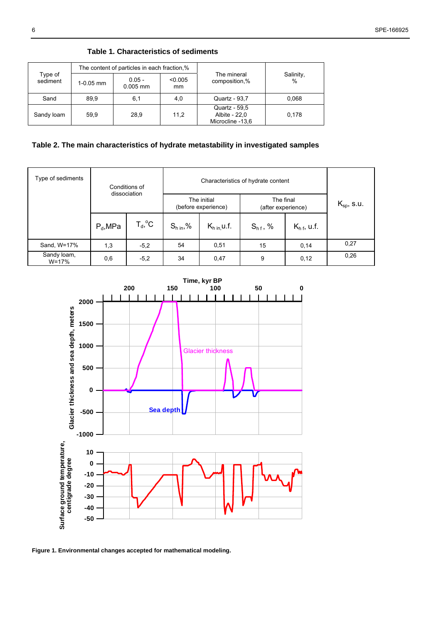| Type of<br>sediment |             | The content of particles in each fraction,% |               |                                                    | Salinity,<br>$\%$ |
|---------------------|-------------|---------------------------------------------|---------------|----------------------------------------------------|-------------------|
|                     | $1-0.05$ mm | $0.05 -$<br>$0.005$ mm                      | < 0.005<br>mm | The mineral<br>composition,%                       |                   |
| Sand                | 89.9        | 6,1                                         | 4,0           | Quartz - 93,7                                      | 0,068             |
| Sandy loam          | 59.9        | 28,9                                        | 11,2          | Quartz - 59,5<br>Albite - 22,0<br>Microcline -13,6 | 0,178             |

**Table 1. Characteristics of sediments**

## **Table 2. The main characteristics of hydrate metastability in investigated samples**

| Type of sediments        | Conditions of<br>dissociation |                     |                                    |                  |                                 |                 |                 |
|--------------------------|-------------------------------|---------------------|------------------------------------|------------------|---------------------------------|-----------------|-----------------|
|                          |                               |                     | The initial<br>(before experience) |                  | The final<br>(after experience) |                 | $K_{sp}$ , s.u. |
|                          | $P_d$ , MPa                   | $T_d$ , $^{\circ}C$ | $S_{h in}$ ,%                      | $K_{h in,} u.f.$ | $S_{h f}$ , %                   | $K_{h.f.}$ u.f. |                 |
| Sand, W=17%              | 1,3                           | $-5,2$              | 54                                 | 0,51             | 15                              | 0,14            | 0,27            |
| Sandy loam,<br>$W = 17%$ | 0,6                           | $-5,2$              | 34                                 | 0,47             | 9                               | 0,12            | 0,26            |



**Figure 1. Environmental changes accepted for mathematical modeling.**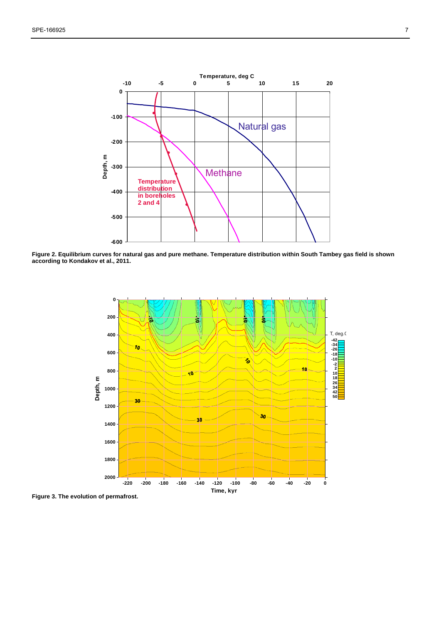

**Figure 2. Equilibrium curves for natural gas and pure methane. Temperature distribution within South Tambey gas field is shown according to Kondakov et al., 2011.** 



**Figure 3. The evolution of permafrost.**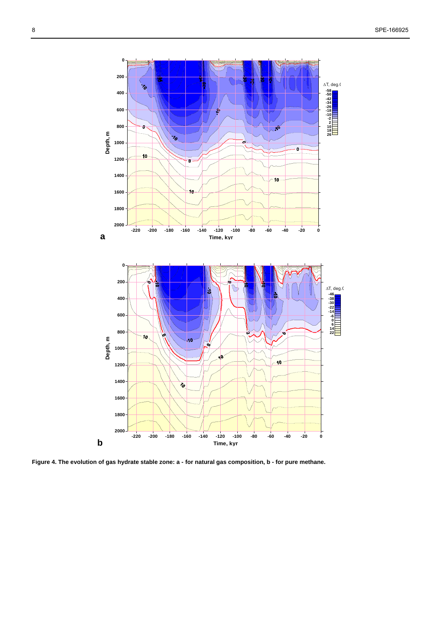

**Figure 4. The evolution of gas hydrate stable zone: a - for natural gas composition, b - for pure methane.**